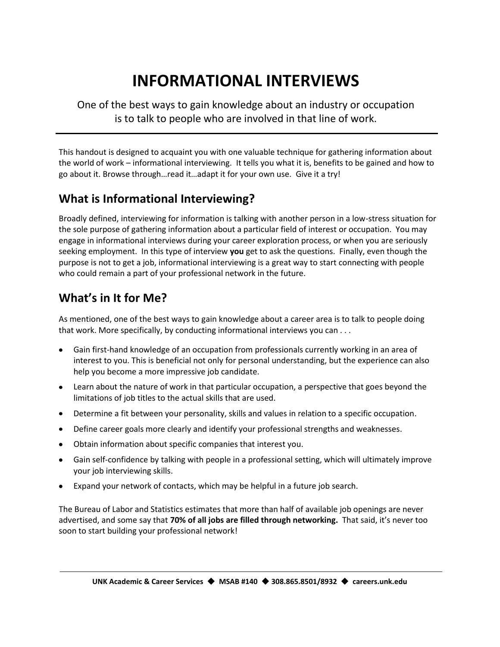# **INFORMATIONAL INTERVIEWS**

One of the best ways to gain knowledge about an industry or occupation is to talk to people who are involved in that line of work.

This handout is designed to acquaint you with one valuable technique for gathering information about the world of work – informational interviewing. It tells you what it is, benefits to be gained and how to go about it. Browse through…read it…adapt it for your own use. Give it a try!

### **What is Informational Interviewing?**

Broadly defined, interviewing for information is talking with another person in a low-stress situation for the sole purpose of gathering information about a particular field of interest or occupation. You may engage in informational interviews during your career exploration process, or when you are seriously seeking employment. In this type of interview **you** get to ask the questions. Finally, even though the purpose is not to get a job, informational interviewing is a great way to start connecting with people who could remain a part of your professional network in the future.

## **What's in It for Me?**

As mentioned, one of the best ways to gain knowledge about a career area is to talk to people doing that work. More specifically, by conducting informational interviews you can . . .

- Gain first-hand knowledge of an occupation from professionals currently working in an area of interest to you. This is beneficial not only for personal understanding, but the experience can also help you become a more impressive job candidate.
- Learn about the nature of work in that particular occupation, a perspective that goes beyond the limitations of job titles to the actual skills that are used.
- Determine a fit between your personality, skills and values in relation to a specific occupation.
- Define career goals more clearly and identify your professional strengths and weaknesses.  $\bullet$
- Obtain information about specific companies that interest you.  $\bullet$
- Gain self-confidence by talking with people in a professional setting, which will ultimately improve your job interviewing skills.
- Expand your network of contacts, which may be helpful in a future job search.

The Bureau of Labor and Statistics estimates that more than half of available job openings are never advertised, and some say that **70% of all jobs are filled through networking.** That said, it's never too soon to start building your professional network!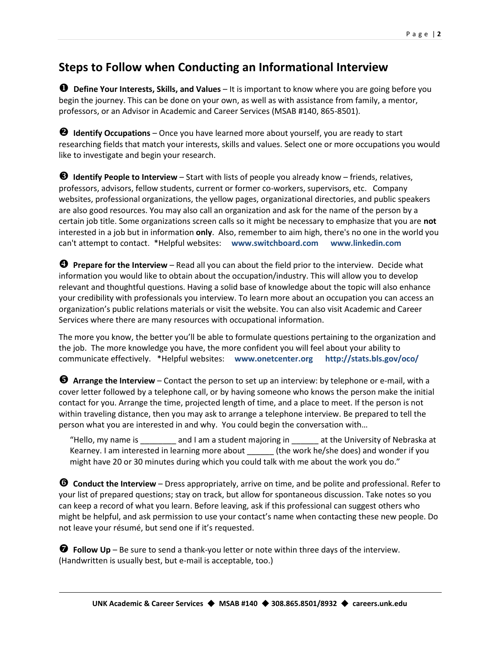#### **Steps to Follow when Conducting an Informational Interview**

**1** Define Your Interests, Skills, and Values – It is important to know where you are going before you begin the journey. This can be done on your own, as well as with assistance from family, a mentor, professors, or an Advisor in Academic and Career Services (MSAB #140, 865-8501).

 **Identify Occupations** – Once you have learned more about yourself, you are ready to start researching fields that match your interests, skills and values. Select one or more occupations you would like to investigate and begin your research.

**8 Identify People to Interview** – Start with lists of people you already know – friends, relatives, professors, advisors, fellow students, current or former co-workers, supervisors, etc. Company websites, professional organizations, the yellow pages, organizational directories, and public speakers are also good resources. You may also call an organization and ask for the name of the person by a certain job title. Some organizations screen calls so it might be necessary to emphasize that you are **not** interested in a job but in information **only**. Also, remember to aim high, there's no one in the world you can't attempt to contact. \*Helpful websites: **[www.switchboard.com](http://www.switchboard.com/) [www.linkedin.com](http://www.linkedin.com/)**

**Prepare for the Interview** – Read all you can about the field prior to the interview. Decide what information you would like to obtain about the occupation/industry. This will allow you to develop relevant and thoughtful questions. Having a solid base of knowledge about the topic will also enhance your credibility with professionals you interview. To learn more about an occupation you can access an organization's public relations materials or visit the website. You can also visit Academic and Career Services where there are many resources with occupational information.

The more you know, the better you'll be able to formulate questions pertaining to the organization and the job. The more knowledge you have, the more confident you will feel about your ability to communicate effectively. \*Helpful websites: **[www.onetcenter.org](http://www.onetcenter.org/) <http://stats.bls.gov/oco/>**

 **Arrange the Interview** – Contact the person to set up an interview: by telephone or e-mail, with a cover letter followed by a telephone call, or by having someone who knows the person make the initial contact for you. Arrange the time, projected length of time, and a place to meet. If the person is not within traveling distance, then you may ask to arrange a telephone interview. Be prepared to tell the person what you are interested in and why. You could begin the conversation with…

"Hello, my name is \_\_\_\_\_\_\_\_ and I am a student majoring in \_\_\_\_\_\_ at the University of Nebraska at Kearney. I am interested in learning more about \_\_\_\_\_\_ (the work he/she does) and wonder if you might have 20 or 30 minutes during which you could talk with me about the work you do."

 **Conduct the Interview** – Dress appropriately, arrive on time, and be polite and professional. Refer to your list of prepared questions; stay on track, but allow for spontaneous discussion. Take notes so you can keep a record of what you learn. Before leaving, ask if this professional can suggest others who might be helpful, and ask permission to use your contact's name when contacting these new people. Do not leave your résumé, but send one if it's requested.

 $\bullet$  Follow Up – Be sure to send a thank-you letter or note within three days of the interview. (Handwritten is usually best, but e-mail is acceptable, too.)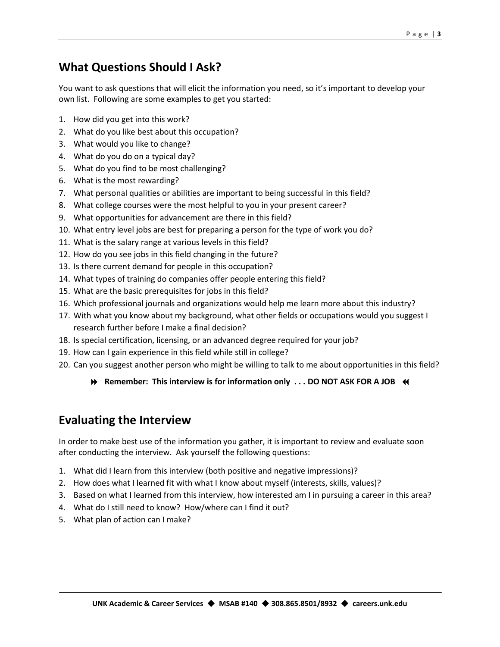#### **What Questions Should I Ask?**

You want to ask questions that will elicit the information you need, so it's important to develop your own list. Following are some examples to get you started:

- 1. How did you get into this work?
- 2. What do you like best about this occupation?
- 3. What would you like to change?
- 4. What do you do on a typical day?
- 5. What do you find to be most challenging?
- 6. What is the most rewarding?
- 7. What personal qualities or abilities are important to being successful in this field?
- 8. What college courses were the most helpful to you in your present career?
- 9. What opportunities for advancement are there in this field?
- 10. What entry level jobs are best for preparing a person for the type of work you do?
- 11. What is the salary range at various levels in this field?
- 12. How do you see jobs in this field changing in the future?
- 13. Is there current demand for people in this occupation?
- 14. What types of training do companies offer people entering this field?
- 15. What are the basic prerequisites for jobs in this field?
- 16. Which professional journals and organizations would help me learn more about this industry?
- 17. With what you know about my background, what other fields or occupations would you suggest I research further before I make a final decision?
- 18. Is special certification, licensing, or an advanced degree required for your job?
- 19. How can I gain experience in this field while still in college?
- 20. Can you suggest another person who might be willing to talk to me about opportunities in this field?

#### $\blacktriangleright$  Remember: This interview is for information only . . . DO NOT ASK FOR A JOB  $\blacktriangleleft$

#### **Evaluating the Interview**

In order to make best use of the information you gather, it is important to review and evaluate soon after conducting the interview. Ask yourself the following questions:

- 1. What did I learn from this interview (both positive and negative impressions)?
- 2. How does what I learned fit with what I know about myself (interests, skills, values)?
- 3. Based on what I learned from this interview, how interested am I in pursuing a career in this area?
- 4. What do I still need to know? How/where can I find it out?
- 5. What plan of action can I make?